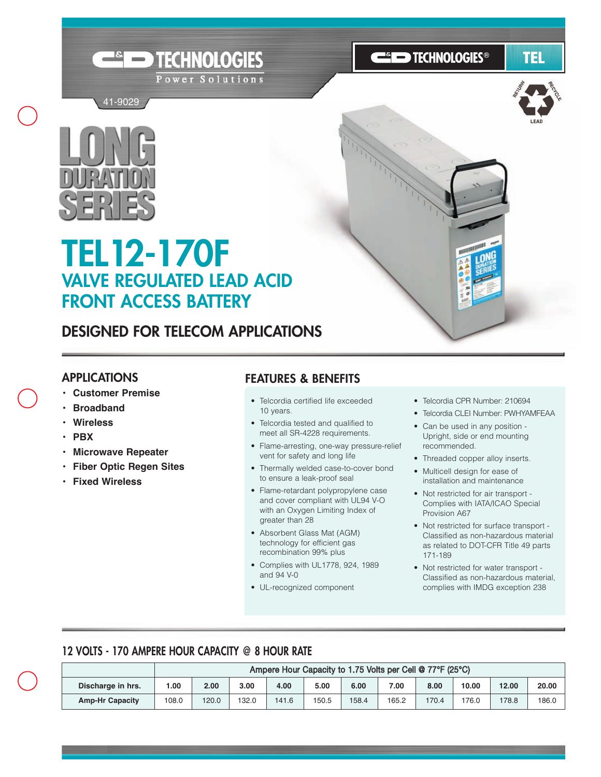





41-9029

# **TEL12-170F VALVE REGULATED LEAD ACID FRONT ACCESS BATTERY**

# **DESIGNED FOR TELECOM APPLICATIONS**

TECHNOLOGIES

Power Solutions

#### **APPLICATIONS**

- **Customer Premise**
- **• Broadband**
- **Wireless**
- **PBX**
- **• Microwave Repeater**
- **Fiber Optic Regen Sites**
- **Fixed Wireless**

## **FEATURES & BENEFITS**

- Telcordia certified life exceeded 10 years.
- Telcordia tested and qualified to meet all SR-4228 requirements.
- Flame-arresting, one-way pressure-relief vent for safety and long life
- Thermally welded case-to-cover bond to ensure a leak-proof seal
- Flame-retardant polypropylene case and cover compliant with UL94 V-O with an Oxygen Limiting Index of greater than 28
- Absorbent Glass Mat (AGM) technology for efficient gas recombination 99% plus
- Complies with UL1778, 924, 1989 and 94 V-0
- UL-recognized component
- Telcordia CPR Number: 210694
- Telcordia CLEI Number: PWHYAMFEAA
- Can be used in any position Upright, side or end mounting recommended.
- Threaded copper alloy inserts.
- Multicell design for ease of installation and maintenance
- Not restricted for air transport Complies with IATA/ICAO Special Provision A67
- Not restricted for surface transport Classified as non-hazardous material as related to DOT-CFR Title 49 parts 171-189
- Not restricted for water transport Classified as non-hazardous material, complies with IMDG exception 238

## **12 VOLTS - 170 AMPERE HOUR CAPACITY @ 8 HOUR RATE**

|                        | Ampere Hour Capacity to 1.75 Volts per Cell @ 77°F (25°C) |       |       |       |       |       |       |       |       |       |       |
|------------------------|-----------------------------------------------------------|-------|-------|-------|-------|-------|-------|-------|-------|-------|-------|
| Discharge in hrs.      | 1.00                                                      | 2.00  | 3.00  | 4.00  | 5.00  | 6.00  | 7.00  | 8.00  | 10.00 | 12.00 | 20.00 |
| <b>Amp-Hr Capacity</b> | 108.0                                                     | 120.0 | 132.0 | 141.6 | 150.5 | 158.4 | 165.2 | 170.4 | 176.0 | 178.8 | 186.0 |